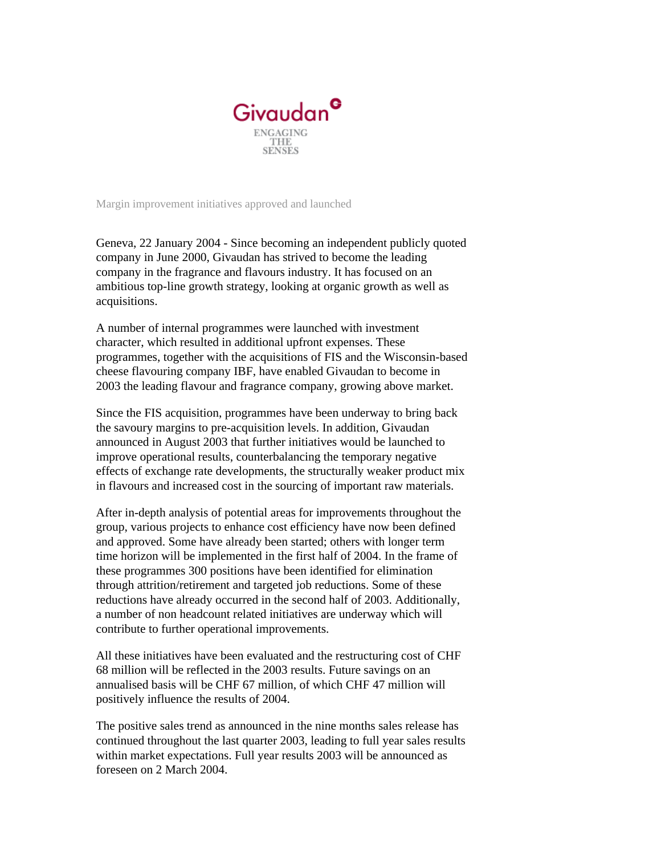

Margin improvement initiatives approved and launched

Geneva, 22 January 2004 - Since becoming an independent publicly quoted company in June 2000, Givaudan has strived to become the leading company in the fragrance and flavours industry. It has focused on an ambitious top-line growth strategy, looking at organic growth as well as acquisitions.

A number of internal programmes were launched with investment character, which resulted in additional upfront expenses. These programmes, together with the acquisitions of FIS and the Wisconsin-based cheese flavouring company IBF, have enabled Givaudan to become in 2003 the leading flavour and fragrance company, growing above market.

Since the FIS acquisition, programmes have been underway to bring back the savoury margins to pre-acquisition levels. In addition, Givaudan announced in August 2003 that further initiatives would be launched to improve operational results, counterbalancing the temporary negative effects of exchange rate developments, the structurally weaker product mix in flavours and increased cost in the sourcing of important raw materials.

After in-depth analysis of potential areas for improvements throughout the group, various projects to enhance cost efficiency have now been defined and approved. Some have already been started; others with longer term time horizon will be implemented in the first half of 2004. In the frame of these programmes 300 positions have been identified for elimination through attrition/retirement and targeted job reductions. Some of these reductions have already occurred in the second half of 2003. Additionally, a number of non headcount related initiatives are underway which will contribute to further operational improvements.

All these initiatives have been evaluated and the restructuring cost of CHF 68 million will be reflected in the 2003 results. Future savings on an annualised basis will be CHF 67 million, of which CHF 47 million will positively influence the results of 2004.

The positive sales trend as announced in the nine months sales release has continued throughout the last quarter 2003, leading to full year sales results within market expectations. Full year results 2003 will be announced as foreseen on 2 March 2004.